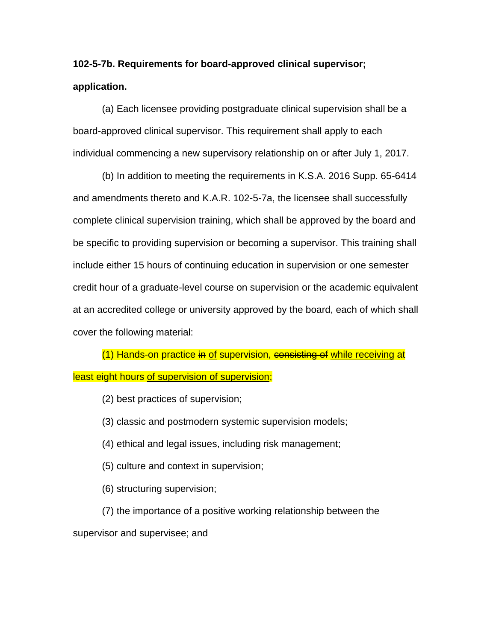## **102-5-7b. Requirements for board-approved clinical supervisor; application.**

(a) Each licensee providing postgraduate clinical supervision shall be a board-approved clinical supervisor. This requirement shall apply to each individual commencing a new supervisory relationship on or after July 1, 2017.

(b) In addition to meeting the requirements in K.S.A. 2016 Supp. 65-6414 and amendments thereto and K.A.R. 102-5-7a, the licensee shall successfully complete clinical supervision training, which shall be approved by the board and be specific to providing supervision or becoming a supervisor. This training shall include either 15 hours of continuing education in supervision or one semester credit hour of a graduate-level course on supervision or the academic equivalent at an accredited college or university approved by the board, each of which shall cover the following material:

(1) Hands-on practice in of supervision, consisting of while receiving at least eight hours of supervision of supervision;

(2) best practices of supervision;

(3) classic and postmodern systemic supervision models;

(4) ethical and legal issues, including risk management;

(5) culture and context in supervision;

(6) structuring supervision;

(7) the importance of a positive working relationship between the supervisor and supervisee; and